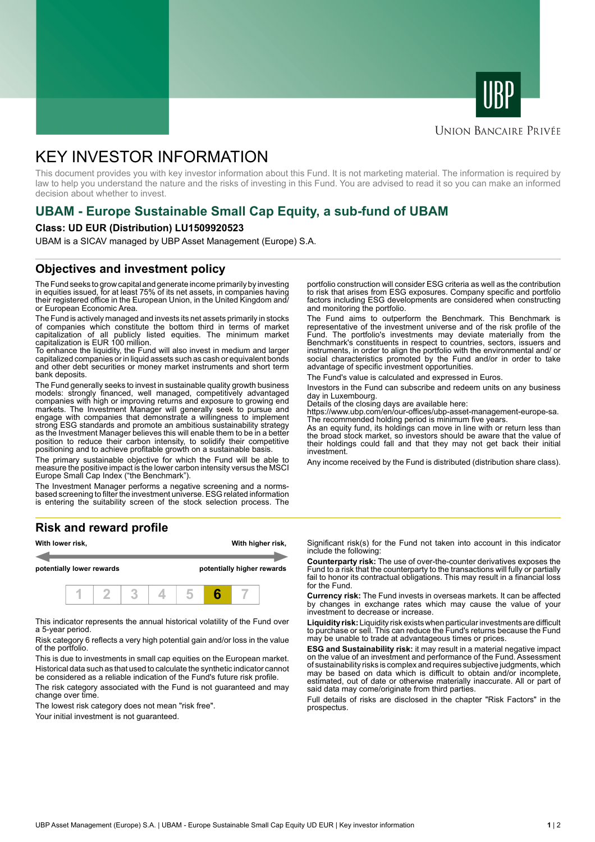



# **UNION BANCAIRE PRIVÉE**

# KEY INVESTOR INFORMATION

This document provides you with key investor information about this Fund. It is not marketing material. The information is required by law to help you understand the nature and the risks of investing in this Fund. You are advised to read it so you can make an informed decision about whether to invest.

# **UBAM - Europe Sustainable Small Cap Equity, a sub-fund of UBAM**

### **Class: UD EUR (Distribution) LU1509920523**

UBAM is a SICAV managed by UBP Asset Management (Europe) S.A.

# **Objectives and investment policy**

The Fund seeks to grow capital and generate income primarily by investing in equities issued, for at least 75% of its net assets, in companies having their registered office in the European Union, in the United Kingdom and/ or European Economic Area.

The Fund is actively managed and invests its net assets primarily in stocks of companies which constitute the bottom third in terms of market capitalization of all publicly listed equities. The minimum market capitalization is EUR 100 million.

To enhance the liquidity, the Fund will also invest in medium and larger capitalized companies or in liquid assets such as cash or equivalent bonds and other debt securities or money market instruments and short term bank deposits.

The Fund generally seeks to invest in sustainable quality growth business models: strongly financed, well managed, competitively advantaged companies with high or improving returns and exposure to growing end markets. The Investment Manager will generally seek to pursue and engage with companies that demonstrate a willingness to implement strong ESG standards and promote an ambitious sustainability strategy as the Investment Manager believes this will enable them to be in a better position to reduce their carbon intensity, to solidify their competitive positioning and to achieve profitable growth on a sustainable basis.

The primary sustainable objective for which the Fund will be able to measure the positive impact is the lower carbon intensity versus the MSCI Europe Small Cap Index ("the Benchmark").

The Investment Manager performs a negative screening and a normsbased screening to filter the investment universe. ESG related information is entering the suitability screen of the stock selection process. The

# **Risk and reward profile**



This indicator represents the annual historical volatility of the Fund over a 5-year period.

Risk category 6 reflects a very high potential gain and/or loss in the value of the portfolio.

This is due to investments in small cap equities on the European market. Historical data such as that used to calculate the synthetic indicator cannot be considered as a reliable indication of the Fund's future risk profile.

The risk category associated with the Fund is not guaranteed and may change over time.

The lowest risk category does not mean "risk free".

Your initial investment is not quaranteed.

portfolio construction will consider ESG criteria as well as the contribution to risk that arises from ESG exposures. Company specific and portfolio factors including ESG developments are considered when constructing and monitoring the portfolio.

The Fund aims to outperform the Benchmark. This Benchmark is representative of the investment universe and of the risk profile of the Fund. The portfolio's investments may deviate materially from the Benchmark's constituents in respect to countries, sectors, issuers and instruments, in order to align the portfolio with the environmental and/ or social characteristics promoted by the Fund and/or in order to take advantage of specific investment opportunities.

The Fund's value is calculated and expressed in Euros.

Investors in the Fund can subscribe and redeem units on any business day in Luxembourg.

Details of the closing days are available here:

https://www.ubp.com/en/our-offices/ubp-asset-management-europe-sa.

The recommended holding period is minimum five years. As an equity fund, its holdings can move in line with or return less than the broad stock market, so investors should be aware that the value of their holdings could fall and that they may not get back their initial investment.

Any income received by the Fund is distributed (distribution share class).

Significant risk(s) for the Fund not taken into account in this indicator include the following:

**Counterparty risk:** The use of over-the-counter derivatives exposes the Fund to a risk that the counterparty to the transactions will fully or partially fail to honor its contractual obligations. This may result in a financial loss for the Fund.

**Currency risk:** The Fund invests in overseas markets. It can be affected by changes in exchange rates which may cause the value of your investment to decrease or increase.

**Liquidity risk:** Liquidity risk exists when particular investments are difficult to purchase or sell. This can reduce the Fund's returns because the Fund may be unable to trade at advantageous times or prices.

**ESG and Sustainability risk:** it may result in a material negative impact on the value of an investment and performance of the Fund. Assessment of sustainability risks is complex and requires subjective judgments, which may be based on data which is difficult to obtain and/or incomplete, estimated, out of date or otherwise materially inaccurate. All or part of said data may come/originate from third parties.

Full details of risks are disclosed in the chapter "Risk Factors" in the prospectus.